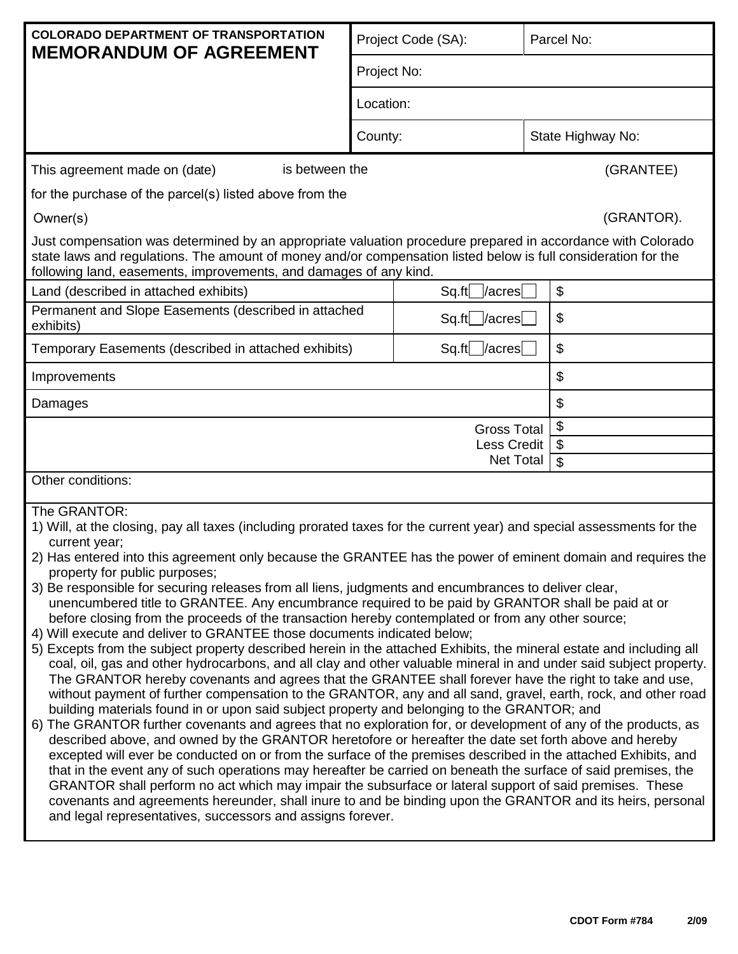| <b>COLORADO DEPARTMENT OF TRANSPORTATION</b><br><b>MEMORANDUM OF AGREEMENT</b>                                                                                                                                                                                                                                                                                                                                                                                                                                                                                                                                                                                                                                                                                                                                                                                                                                                                                                                                                                                                                                                                                                                                                                                                                                                                                                                                                                                                                                                                                                                                                                                                                                                                                                                                                                                                                                                                                                                                                      | Project Code (SA): |                                  |    | Parcel No:                |  |
|-------------------------------------------------------------------------------------------------------------------------------------------------------------------------------------------------------------------------------------------------------------------------------------------------------------------------------------------------------------------------------------------------------------------------------------------------------------------------------------------------------------------------------------------------------------------------------------------------------------------------------------------------------------------------------------------------------------------------------------------------------------------------------------------------------------------------------------------------------------------------------------------------------------------------------------------------------------------------------------------------------------------------------------------------------------------------------------------------------------------------------------------------------------------------------------------------------------------------------------------------------------------------------------------------------------------------------------------------------------------------------------------------------------------------------------------------------------------------------------------------------------------------------------------------------------------------------------------------------------------------------------------------------------------------------------------------------------------------------------------------------------------------------------------------------------------------------------------------------------------------------------------------------------------------------------------------------------------------------------------------------------------------------------|--------------------|----------------------------------|----|---------------------------|--|
|                                                                                                                                                                                                                                                                                                                                                                                                                                                                                                                                                                                                                                                                                                                                                                                                                                                                                                                                                                                                                                                                                                                                                                                                                                                                                                                                                                                                                                                                                                                                                                                                                                                                                                                                                                                                                                                                                                                                                                                                                                     | Project No:        |                                  |    |                           |  |
|                                                                                                                                                                                                                                                                                                                                                                                                                                                                                                                                                                                                                                                                                                                                                                                                                                                                                                                                                                                                                                                                                                                                                                                                                                                                                                                                                                                                                                                                                                                                                                                                                                                                                                                                                                                                                                                                                                                                                                                                                                     | Location:          |                                  |    |                           |  |
|                                                                                                                                                                                                                                                                                                                                                                                                                                                                                                                                                                                                                                                                                                                                                                                                                                                                                                                                                                                                                                                                                                                                                                                                                                                                                                                                                                                                                                                                                                                                                                                                                                                                                                                                                                                                                                                                                                                                                                                                                                     | County:            |                                  |    | State Highway No:         |  |
| This agreement made on (date)<br>is between the                                                                                                                                                                                                                                                                                                                                                                                                                                                                                                                                                                                                                                                                                                                                                                                                                                                                                                                                                                                                                                                                                                                                                                                                                                                                                                                                                                                                                                                                                                                                                                                                                                                                                                                                                                                                                                                                                                                                                                                     |                    |                                  |    | (GRANTEE)                 |  |
| for the purchase of the parcel(s) listed above from the                                                                                                                                                                                                                                                                                                                                                                                                                                                                                                                                                                                                                                                                                                                                                                                                                                                                                                                                                                                                                                                                                                                                                                                                                                                                                                                                                                                                                                                                                                                                                                                                                                                                                                                                                                                                                                                                                                                                                                             |                    |                                  |    |                           |  |
| Owner(s)                                                                                                                                                                                                                                                                                                                                                                                                                                                                                                                                                                                                                                                                                                                                                                                                                                                                                                                                                                                                                                                                                                                                                                                                                                                                                                                                                                                                                                                                                                                                                                                                                                                                                                                                                                                                                                                                                                                                                                                                                            |                    |                                  |    | (GRANTOR).                |  |
| Just compensation was determined by an appropriate valuation procedure prepared in accordance with Colorado<br>state laws and regulations. The amount of money and/or compensation listed below is full consideration for the<br>following land, easements, improvements, and damages of any kind.                                                                                                                                                                                                                                                                                                                                                                                                                                                                                                                                                                                                                                                                                                                                                                                                                                                                                                                                                                                                                                                                                                                                                                                                                                                                                                                                                                                                                                                                                                                                                                                                                                                                                                                                  |                    |                                  |    |                           |  |
| Land (described in attached exhibits)                                                                                                                                                                                                                                                                                                                                                                                                                                                                                                                                                                                                                                                                                                                                                                                                                                                                                                                                                                                                                                                                                                                                                                                                                                                                                                                                                                                                                                                                                                                                                                                                                                                                                                                                                                                                                                                                                                                                                                                               |                    | Sq.ft /acres                     |    | \$                        |  |
| Permanent and Slope Easements (described in attached<br>exhibits)                                                                                                                                                                                                                                                                                                                                                                                                                                                                                                                                                                                                                                                                                                                                                                                                                                                                                                                                                                                                                                                                                                                                                                                                                                                                                                                                                                                                                                                                                                                                                                                                                                                                                                                                                                                                                                                                                                                                                                   |                    | Sq.ft /acres                     |    | \$                        |  |
| Temporary Easements (described in attached exhibits)                                                                                                                                                                                                                                                                                                                                                                                                                                                                                                                                                                                                                                                                                                                                                                                                                                                                                                                                                                                                                                                                                                                                                                                                                                                                                                                                                                                                                                                                                                                                                                                                                                                                                                                                                                                                                                                                                                                                                                                |                    | $\mathsf{Sq}.\mathsf{ft}$ /acres |    | \$                        |  |
| Improvements                                                                                                                                                                                                                                                                                                                                                                                                                                                                                                                                                                                                                                                                                                                                                                                                                                                                                                                                                                                                                                                                                                                                                                                                                                                                                                                                                                                                                                                                                                                                                                                                                                                                                                                                                                                                                                                                                                                                                                                                                        |                    |                                  |    | $\boldsymbol{\mathsf{S}}$ |  |
| Damages                                                                                                                                                                                                                                                                                                                                                                                                                                                                                                                                                                                                                                                                                                                                                                                                                                                                                                                                                                                                                                                                                                                                                                                                                                                                                                                                                                                                                                                                                                                                                                                                                                                                                                                                                                                                                                                                                                                                                                                                                             |                    |                                  |    | $\boldsymbol{\theta}$     |  |
| <b>Gross Total</b>                                                                                                                                                                                                                                                                                                                                                                                                                                                                                                                                                                                                                                                                                                                                                                                                                                                                                                                                                                                                                                                                                                                                                                                                                                                                                                                                                                                                                                                                                                                                                                                                                                                                                                                                                                                                                                                                                                                                                                                                                  |                    |                                  | \$ |                           |  |
| <b>Less Credit</b>                                                                                                                                                                                                                                                                                                                                                                                                                                                                                                                                                                                                                                                                                                                                                                                                                                                                                                                                                                                                                                                                                                                                                                                                                                                                                                                                                                                                                                                                                                                                                                                                                                                                                                                                                                                                                                                                                                                                                                                                                  |                    |                                  |    | $\boldsymbol{\mathsf{S}}$ |  |
| <b>Net Total</b><br>\$<br>Other conditions:                                                                                                                                                                                                                                                                                                                                                                                                                                                                                                                                                                                                                                                                                                                                                                                                                                                                                                                                                                                                                                                                                                                                                                                                                                                                                                                                                                                                                                                                                                                                                                                                                                                                                                                                                                                                                                                                                                                                                                                         |                    |                                  |    |                           |  |
|                                                                                                                                                                                                                                                                                                                                                                                                                                                                                                                                                                                                                                                                                                                                                                                                                                                                                                                                                                                                                                                                                                                                                                                                                                                                                                                                                                                                                                                                                                                                                                                                                                                                                                                                                                                                                                                                                                                                                                                                                                     |                    |                                  |    |                           |  |
| The GRANTOR:<br>1) Will, at the closing, pay all taxes (including prorated taxes for the current year) and special assessments for the<br>current year;<br>2) Has entered into this agreement only because the GRANTEE has the power of eminent domain and requires the<br>property for public purposes;<br>3) Be responsible for securing releases from all liens, judgments and encumbrances to deliver clear,<br>unencumbered title to GRANTEE. Any encumbrance required to be paid by GRANTOR shall be paid at or<br>before closing from the proceeds of the transaction hereby contemplated or from any other source;<br>4) Will execute and deliver to GRANTEE those documents indicated below;<br>5) Excepts from the subject property described herein in the attached Exhibits, the mineral estate and including all<br>coal, oil, gas and other hydrocarbons, and all clay and other valuable mineral in and under said subject property.<br>The GRANTOR hereby covenants and agrees that the GRANTEE shall forever have the right to take and use,<br>without payment of further compensation to the GRANTOR, any and all sand, gravel, earth, rock, and other road<br>building materials found in or upon said subject property and belonging to the GRANTOR; and<br>6) The GRANTOR further covenants and agrees that no exploration for, or development of any of the products, as<br>described above, and owned by the GRANTOR heretofore or hereafter the date set forth above and hereby<br>excepted will ever be conducted on or from the surface of the premises described in the attached Exhibits, and<br>that in the event any of such operations may hereafter be carried on beneath the surface of said premises, the<br>GRANTOR shall perform no act which may impair the subsurface or lateral support of said premises. These<br>covenants and agreements hereunder, shall inure to and be binding upon the GRANTOR and its heirs, personal<br>and legal representatives, successors and assigns forever. |                    |                                  |    |                           |  |